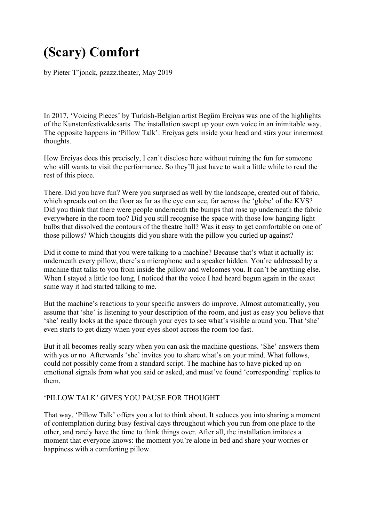## **(Scary) Comfort**

by Pieter T'jonck, pzazz.theater, May 2019

In 2017, 'Voicing Pieces' by Turkish-Belgian artist Begüm Erciyas was one of the highlights of the Kunstenfestivaldesarts. The installation swept up your own voice in an inimitable way. The opposite happens in 'Pillow Talk': Erciyas gets inside your head and stirs your innermost thoughts.

How Erciyas does this precisely, I can't disclose here without ruining the fun for someone who still wants to visit the performance. So they'll just have to wait a little while to read the rest of this piece.

There. Did you have fun? Were you surprised as well by the landscape, created out of fabric, which spreads out on the floor as far as the eye can see, far across the 'globe' of the KVS? Did you think that there were people underneath the bumps that rose up underneath the fabric everywhere in the room too? Did you still recognise the space with those low hanging light bulbs that dissolved the contours of the theatre hall? Was it easy to get comfortable on one of those pillows? Which thoughts did you share with the pillow you curled up against?

Did it come to mind that you were talking to a machine? Because that's what it actually is: underneath every pillow, there's a microphone and a speaker hidden. You're addressed by a machine that talks to you from inside the pillow and welcomes you. It can't be anything else. When I stayed a little too long, I noticed that the voice I had heard begun again in the exact same way it had started talking to me.

But the machine's reactions to your specific answers do improve. Almost automatically, you assume that 'she' is listening to your description of the room, and just as easy you believe that 'she' really looks at the space through your eyes to see what's visible around you. That 'she' even starts to get dizzy when your eyes shoot across the room too fast.

But it all becomes really scary when you can ask the machine questions. 'She' answers them with yes or no. Afterwards 'she' invites you to share what's on your mind. What follows, could not possibly come from a standard script. The machine has to have picked up on emotional signals from what you said or asked, and must've found 'corresponding' replies to them.

## 'PILLOW TALK' GIVES YOU PAUSE FOR THOUGHT

That way, 'Pillow Talk' offers you a lot to think about. It seduces you into sharing a moment of contemplation during busy festival days throughout which you run from one place to the other, and rarely have the time to think things over. After all, the installation imitates a moment that everyone knows: the moment you're alone in bed and share your worries or happiness with a comforting pillow.